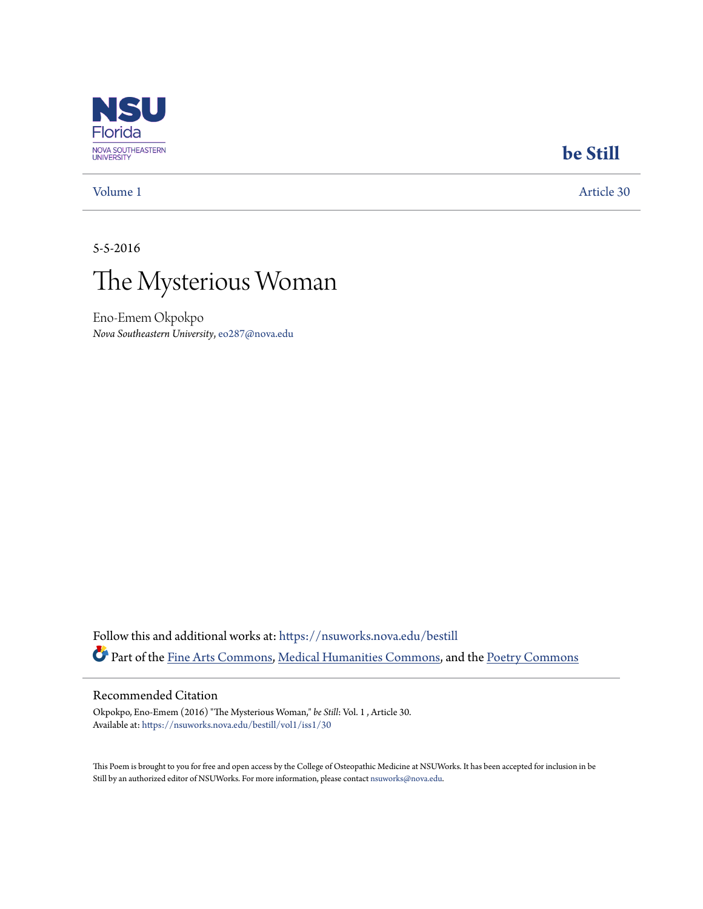

### **[be Still](https://nsuworks.nova.edu/bestill?utm_source=nsuworks.nova.edu%2Fbestill%2Fvol1%2Fiss1%2F30&utm_medium=PDF&utm_campaign=PDFCoverPages)**

[Volume 1](https://nsuworks.nova.edu/bestill/vol1?utm_source=nsuworks.nova.edu%2Fbestill%2Fvol1%2Fiss1%2F30&utm_medium=PDF&utm_campaign=PDFCoverPages) [Article 30](https://nsuworks.nova.edu/bestill/vol1/iss1/30?utm_source=nsuworks.nova.edu%2Fbestill%2Fvol1%2Fiss1%2F30&utm_medium=PDF&utm_campaign=PDFCoverPages)

5-5-2016



Eno-Emem Okpokpo *Nova Southeastern University*, eo287@nova.edu

Follow this and additional works at: [https://nsuworks.nova.edu/bestill](https://nsuworks.nova.edu/bestill?utm_source=nsuworks.nova.edu%2Fbestill%2Fvol1%2Fiss1%2F30&utm_medium=PDF&utm_campaign=PDFCoverPages) Part of the [Fine Arts Commons](http://network.bepress.com/hgg/discipline/1141?utm_source=nsuworks.nova.edu%2Fbestill%2Fvol1%2Fiss1%2F30&utm_medium=PDF&utm_campaign=PDFCoverPages), [Medical Humanities Commons](http://network.bepress.com/hgg/discipline/1303?utm_source=nsuworks.nova.edu%2Fbestill%2Fvol1%2Fiss1%2F30&utm_medium=PDF&utm_campaign=PDFCoverPages), and the [Poetry Commons](http://network.bepress.com/hgg/discipline/1153?utm_source=nsuworks.nova.edu%2Fbestill%2Fvol1%2Fiss1%2F30&utm_medium=PDF&utm_campaign=PDFCoverPages)

### Recommended Citation

Okpokpo, Eno-Emem (2016) "The Mysterious Woman," *be Still*: Vol. 1 , Article 30. Available at: [https://nsuworks.nova.edu/bestill/vol1/iss1/30](https://nsuworks.nova.edu/bestill/vol1/iss1/30?utm_source=nsuworks.nova.edu%2Fbestill%2Fvol1%2Fiss1%2F30&utm_medium=PDF&utm_campaign=PDFCoverPages)

This Poem is brought to you for free and open access by the College of Osteopathic Medicine at NSUWorks. It has been accepted for inclusion in be Still by an authorized editor of NSUWorks. For more information, please contact [nsuworks@nova.edu](mailto:nsuworks@nova.edu).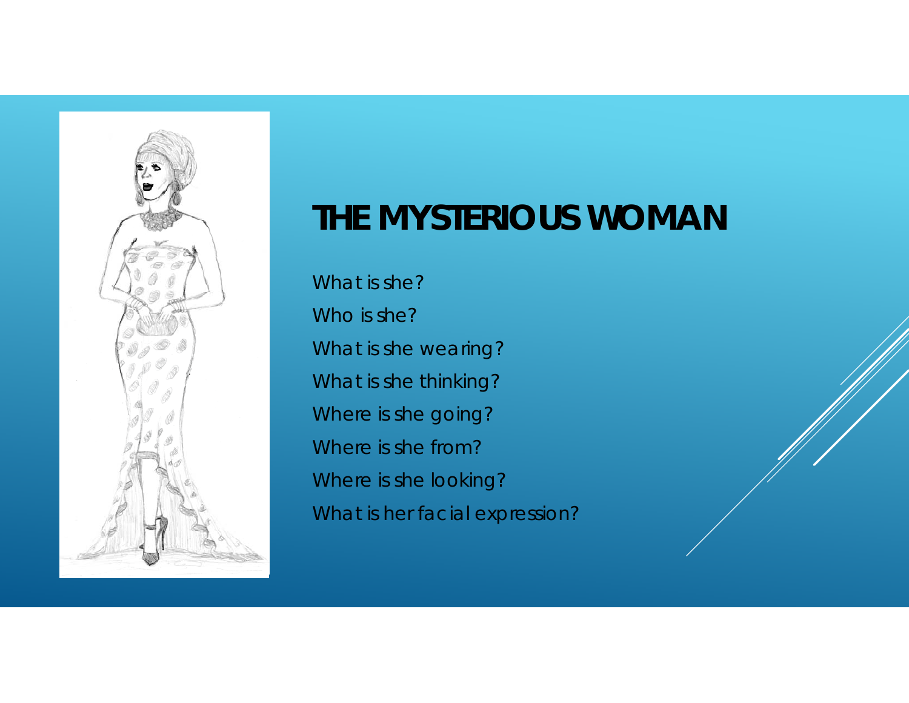

# *THE MYSTERIOUS WOMAN*

What is she? Who is she? What is she wearing? What is she thinking? Where is she going? Where is she from? Where is she looking? What is her facial expression?